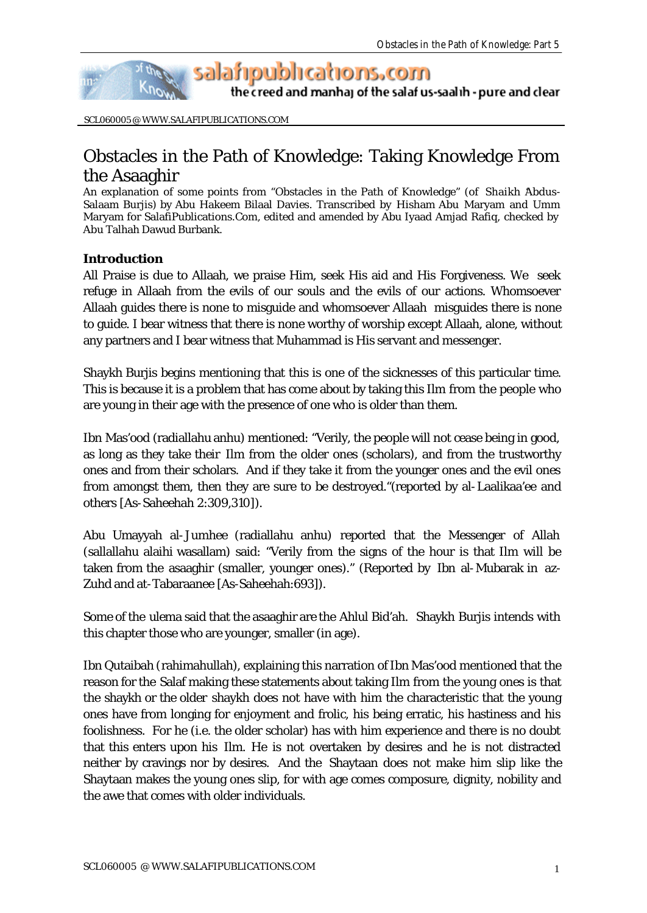

the creed and manhaj of the salaf us-saalih - pure and clear

SCL060005 @ WWW.SALAFIPUBLICATIONS.COM

## Obstacles in the Path of Knowledge: Taking Knowledge From the Asaaghir

An explanation of some points from "Obstacles in the Path of Knowledge" (of Shaikh 'Abdus-Salaam Burjis) by Abu Hakeem Bilaal Davies. Transcribed by Hisham Abu Maryam and Umm Maryam for SalafiPublications.Com, edited and amended by Abu Iyaad Amjad Rafiq, checked by Abu Talhah Dawud Burbank.

## **Introduction**

All Praise is due to Allaah, we praise Him, seek His aid and His Forgiveness. We seek refuge in Allaah from the evils of our souls and the evils of our actions. Whomsoever Allaah guides there is none to misguide and whomsoever Allaah misguides there is none to guide. I bear witness that there is none worthy of worship except Allaah, alone, without any partners and I bear witness that Muhammad is His servant and messenger.

Shaykh Burjis begins mentioning that this is one of the sicknesses of this particular time. This is because it is a problem that has come about by taking this Ilm from the people who are young in their age with the presence of one who is older than them.

Ibn Mas'ood (radiallahu anhu) mentioned: "Verily, the people will not cease being in good, as long as they take their Ilm from the older ones (scholars), and from the trustworthy ones and from their scholars. And if they take it from the younger ones and the evil ones from amongst them, then they are sure to be destroyed."(reported by al-Laalikaa'ee and others [As-Saheehah 2:309,310]).

Abu Umayyah al-Jumhee (radiallahu anhu) reported that the Messenger of Allah (sallallahu alaihi wasallam) said: "Verily from the signs of the hour is that Ilm will be taken from the asaaghir (smaller, younger ones)." (Reported by Ibn al-Mubarak in az-Zuhd and at-Tabaraanee [As-Saheehah:693]).

Some of the ulema said that the asaaghir are the Ahlul Bid'ah. Shaykh Burjis intends with this chapter those who are younger, smaller (in age).

Ibn Qutaibah (rahimahullah), explaining this narration of Ibn Mas'ood mentioned that the reason for the Salaf making these statements about taking Ilm from the young ones is that the shaykh or the older shaykh does not have with him the characteristic that the young ones have from longing for enjoyment and frolic, his being erratic, his hastiness and his foolishness. For he (i.e. the older scholar) has with him experience and there is no doubt that this enters upon his Ilm. He is not overtaken by desires and he is not distracted neither by cravings nor by desires. And the Shaytaan does not make him slip like the Shaytaan makes the young ones slip, for with age comes composure, dignity, nobility and the awe that comes with older individuals.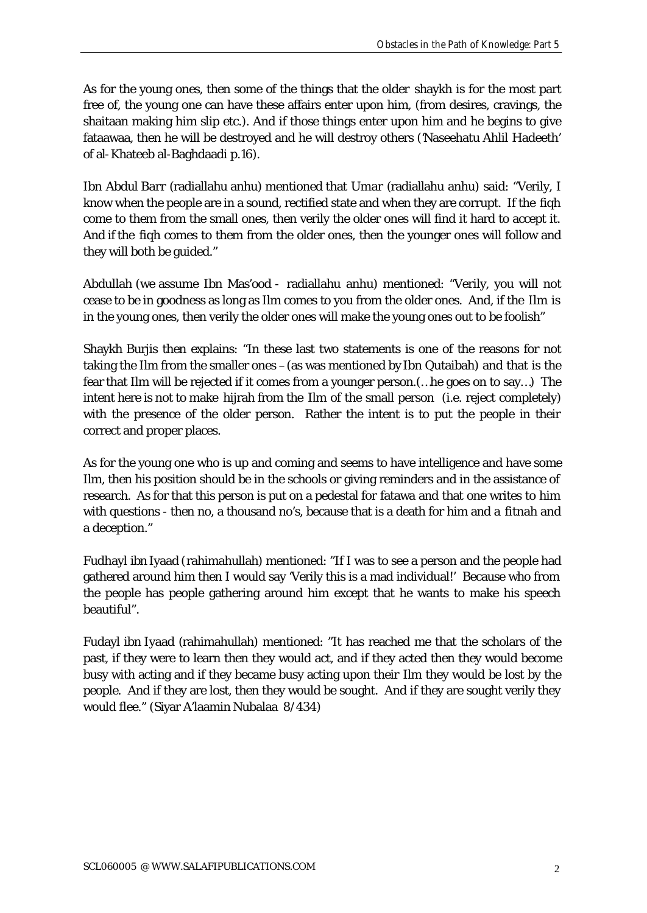As for the young ones, then some of the things that the older shaykh is for the most part free of, the young one can have these affairs enter upon him, (from desires, cravings, the shaitaan making him slip etc.). And if those things enter upon him and he begins to give fataawaa, then he will be destroyed and he will destroy others ('Naseehatu Ahlil Hadeeth' of al-Khateeb al-Baghdaadi p.16).

Ibn Abdul Barr (radiallahu anhu) mentioned that Umar (radiallahu anhu) said: "Verily, I know when the people are in a sound, rectified state and when they are corrupt. If the fiqh come to them from the small ones, then verily the older ones will find it hard to accept it. And if the fiqh comes to them from the older ones, then the younger ones will follow and they will both be guided."

Abdullah (we assume Ibn Mas'ood - radiallahu anhu) mentioned: "Verily, you will not cease to be in goodness as long as Ilm comes to you from the older ones. And, if the Ilm is in the young ones, then verily the older ones will make the young ones out to be foolish"

Shaykh Burjis then explains: "In these last two statements is one of the reasons for not taking the Ilm from the smaller ones –(as was mentioned by Ibn Qutaibah) and that is the fear that Ilm will be rejected if it comes from a younger person.(…he goes on to say…) The intent here is not to make hijrah from the Ilm of the small person (i.e. reject completely) with the presence of the older person. Rather the intent is to put the people in their correct and proper places.

As for the young one who is up and coming and seems to have intelligence and have some Ilm, then his position should be in the schools or giving reminders and in the assistance of research. As for that this person is put on a pedestal for fatawa and that one writes to him with questions - then no, a thousand no's, because that is a death for him and a fitnah and a deception."

Fudhayl ibn Iyaad (rahimahullah) mentioned: "If I was to see a person and the people had gathered around him then I would say 'Verily this is a mad individual!' Because who from the people has people gathering around him except that he wants to make his speech beautiful".

Fudayl ibn Iyaad (rahimahullah) mentioned: "It has reached me that the scholars of the past, if they were to learn then they would act, and if they acted then they would become busy with acting and if they became busy acting upon their Ilm they would be lost by the people. And if they are lost, then they would be sought. And if they are sought verily they would flee." (Siyar A'laamin Nubalaa 8/434)